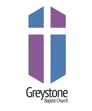# Greystone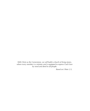*With Christ as the Cornerstone, we will build a church of living stones, where every member is a minister and is equipped to express God's love by word and deed to all people.* 

 *Based on I Peter 2:5,*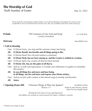# **The Worship of God**  Sixth Sunday of Easter May 22, 2022

*All are invited to sing during worship! Masks are recommended but not required. For anyone who would like to wear a mask but does not have one, they are available at the back of the sanctuary.* 

**Prelude Prelude 19.1 19.1 Prelude 19.1 CODE 10.1 CODE 10.1 CODE 10.1 CODE 10.1 Prelude** *Arr. Cindy Berry* Cynthia Griesedieck

### **Welcome Anna Beth Cross Anna Beth Cross Anna Beth Cross**

### **☦ Call to Worship**

- One: O Divine Voice, you sing and the universe comes into being;
- **All: O Divine Breath, You breathe and all things spring to life;**
- One: O Divine Word, You call and creation is sustained;
- **All: O Divine Flesh, You are born among us, and the Creator is clothed in creation;**
- One: O Divine Spirit, You contain all that has been formed;
- **All: O Divine Life, You are the pulse of all that is;**
- One: And so, in faith and expectation, in wonder and celebration we gather to remember this mystery:
- **All: In you all things live and move and have being, In all things, you live and move and express your Divine artistry;**
- One: And so we join with creation in the eternal song of worship and devotion.
- **All: Amen.**

| <i><b>† Opening Hymn 400</b></i> | "Glorious Things of Thee Are Spoken" | <b>AUSTRIAN HYMN</b>           |
|----------------------------------|--------------------------------------|--------------------------------|
|                                  | Stanzas 1-3                          | Words by John Newton, altered; |
|                                  |                                      | Music by Franz Joseph Haydn    |

 *During the last stanza of our opening hymn, all children are invited to come forward for today's children's sermon.*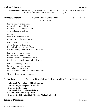### **Children's Sermon April Alston April Alston April Alston**

 *As our offertory anthem is sung, please feel free to place your offering in the plates that are passed, or you can also give online at [greystonechurch.org/](http://greystonechurch.org/)give.* 

**Offertory Anthem 1988** "For the Beauty of the Earth" Setting by John Rutter GBC Adult Choir

For the beauty of the earth, for the glory of the skies, for the love which from our birth over and around us lies:

Refrain: Lord of all, to thee we raise this, our joyful hymn of praise.

For the beauty of each hour of the day and of the night, hill and vale, and tree and flower, sun and moon, and stars of light: (Refrain)

For the joy of human love, brother, sister, parent, child, friends on earth, and friends above, for all gentle thoughts and mild: (Refrain)

For each perfect gift of thine to our race so freely given, graces human and divine, flow'rs of earth and buds of heav'n (Refrain).

This, our joyful hymn of praise.

# *T* **Doxology** "Praise God from Whom All Blessings Flow" LASST UNS ERFREUEN

 **Praise God, from whom all blessings flow; Praise Christ, all people here below; O praise God! Alleluia! Praise God above, ye heavenly host; Creator, Christ, and Holy Ghost. O praise God! O praise God! Alleluia! Alleluia! Alleluia!** 

### **Prayer of Dedication** *Prayer of Dedication*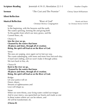| <b>Sermon</b>                                                                                                                                                                                                             | "The Cost and The Promise"                                                                                                   | Chrissy Tatum Williamson                     |
|---------------------------------------------------------------------------------------------------------------------------------------------------------------------------------------------------------------------------|------------------------------------------------------------------------------------------------------------------------------|----------------------------------------------|
| <b>Silent Reflection</b>                                                                                                                                                                                                  |                                                                                                                              |                                              |
| <b>Musical Reflection</b><br>Verse:<br>In the beginning, with the heavens and the earth,<br>The waters spinning, forming life and giving birth<br>To the garden from which our story grows, and the<br>Current flows, oh, | "River of God"<br>Christian McIvor, Congregation                                                                             | Words and Music<br>by Christian McIvor ©2018 |
| Chorus A:<br>Into the river we go,<br>Cleansed by the waters that know<br>All places and times, through all of creation;<br>Rising, the spirit will lead us on the River of God.                                          |                                                                                                                              |                                              |
| Verse:<br>The seas are surging, once again we've lost our way,<br>We turn back to You, oh,                                                                                                                                | The coasts submerging, with more and more lives lost each day;<br>A hard rain's falling, and we won't make it through unless |                                              |
| Chorus B:<br>Back to the river we go,<br>Cleansed by the waters that know<br>All places and times, through all of creation;<br>Rising, the spirit will lead us on the River of God.                                       |                                                                                                                              |                                              |
| Bridge:<br>Let your justice roll on<br>Down, down;<br>Streams of righteousness and<br>Love will shape us.                                                                                                                 |                                                                                                                              |                                              |
| Verse:<br>In these waters where we can be reborn, and                                                                                                                                                                     | When we were thirsty, your living water cooled our tongue<br>And in your mercy, you quenched our hearts and made us one      |                                              |

**Scripture Reading** Jeremiah 4:19-31; Revelation 22:1-5 Heather Choplin

All will be transformed, oh,

### **(Chorus B)**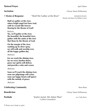## **Pastoral Prayer April Alston**

**<sup>** $\dagger$ **</sup> Hymn of Response** "Shall We Gather at the River" HANSON PLACE;

Words and Music by Robert Lowry

**Shall we gather at the river, where bright angel feet have trod, with its crystal tide forever flowing by the throne of God?** 

### Refrain:

**Yes, we'll gather at the river, the beautiful, the beautiful river; gather with the saints at the river that flows by the throne of God.** 

**On the margin of the river, washing up its silver spray, we will walk and worship ever, all the happy golden day.**

(Refrain)

**Ere we reach the shining river, lay we every burden down; grace our spirits will deliver, and provide a robe and crown.**

(Refrain)

**Soon we'll reach the shining river; soon our pilgrimage will cease; soon our happy hearts will quiver with the melody of peace.**

(Refrain)

# **Celebrating Community** Steve Rose

**Postlude** The **Postlude Postlude 1988 1988 1998 1999 1999 1999 1999 1999 1999 1999 1999 1999 1999 1999 1999 1999 1999 1999 1999 1999 1999 1999 1999 1999 1999 1999 19** Cynthia Griesedieck

**Benediction** Chrissy Tatum Williamson

**Invitation Chrissy Tatum Williamson**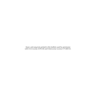Music and song texts printed in this bulletin used by permission with CCLI License #295340 and OneLicense License # P-400143.